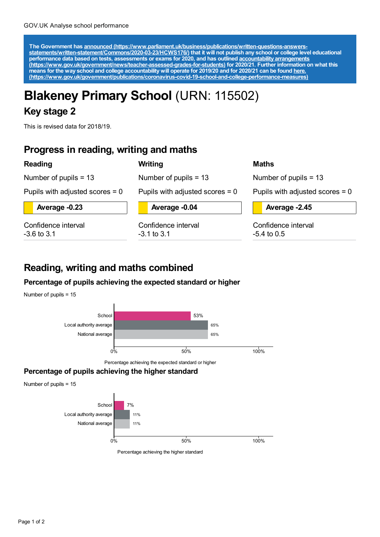The Government has announced [\(https://www.parliament.uk/business/publications/written-questions-answers-](https://www.parliament.uk/business/publications/written-questions-answers-statements/written-statement/Commons/2020-03-23/HCWS176/)<br>statements/written-statement/Commons/2020-03-23/HCWS176/) that it will not publish any school or college level educat **performance data based on tests, assessments or exams for 2020, and has outlined accountability arrangements [\(https://www.gov.uk/government/news/teacher-assessed-grades-for-students\)](https://www.gov.uk/government/news/teacher-assessed-grades-for-students) for 2020/21. Further information on what this** means for the way school and college accountability will operate for 2019/20 and for 2020/21 can be found <u>here.</u> **[\(https://www.gov.uk/government/publications/coronavirus-covid-19-school-and-college-performance-measures\)](https://www.gov.uk/government/publications/coronavirus-covid-19-school-and-college-performance-measures)**

# **Blakeney Primary School** (URN: 115502)

**Writing**

## **Key stage 2**

This is revised data for 2018/19.

## **Progress in reading, writing and maths**

#### **Reading**

Number of pupils = 13

Number of pupils = 13

Pupils with adjusted scores = 0

**Average -0.23**

Confidence interval -3.6 to 3.1

**Average -0.04**

Pupils with adjusted scores = 0

Confidence interval -3.1 to 3.1

#### **Maths**

Number of pupils = 13

Pupils with adjusted scores  $= 0$ 

**Average -2.45**

Confidence interval -5.4 to 0.5

## **Reading, writing and maths combined**

### **Percentage of pupils achieving the expected standard or higher**





Percentage achieving the expected standard or higher

## **Percentage of pupils achieving the higher standard**

Number of pupils = 15